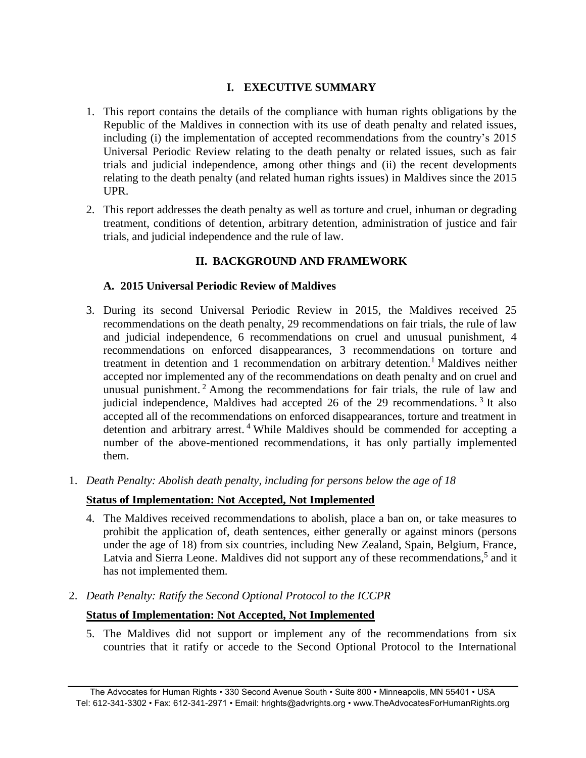# **I. EXECUTIVE SUMMARY**

- 1. This report contains the details of the compliance with human rights obligations by the Republic of the Maldives in connection with its use of death penalty and related issues, including (i) the implementation of accepted recommendations from the country's 2015 Universal Periodic Review relating to the death penalty or related issues, such as fair trials and judicial independence, among other things and (ii) the recent developments relating to the death penalty (and related human rights issues) in Maldives since the 2015 UPR.
- 2. This report addresses the death penalty as well as torture and cruel, inhuman or degrading treatment, conditions of detention, arbitrary detention, administration of justice and fair trials, and judicial independence and the rule of law.

# **II. BACKGROUND AND FRAMEWORK**

### **A. 2015 Universal Periodic Review of Maldives**

- 3. During its second Universal Periodic Review in 2015, the Maldives received 25 recommendations on the death penalty, 29 recommendations on fair trials, the rule of law and judicial independence, 6 recommendations on cruel and unusual punishment, 4 recommendations on enforced disappearances, 3 recommendations on torture and treatment in detention and 1 recommendation on arbitrary detention.<sup>1</sup> Maldives neither accepted nor implemented any of the recommendations on death penalty and on cruel and unusual punishment. <sup>2</sup> Among the recommendations for fair trials, the rule of law and judicial independence, Maldives had accepted 26 of the 29 recommendations.<sup>3</sup> It also accepted all of the recommendations on enforced disappearances, torture and treatment in detention and arbitrary arrest. <sup>4</sup> While Maldives should be commended for accepting a number of the above-mentioned recommendations, it has only partially implemented them.
- 1. *Death Penalty: Abolish death penalty, including for persons below the age of 18*

# **Status of Implementation: Not Accepted, Not Implemented**

- 4. The Maldives received recommendations to abolish, place a ban on, or take measures to prohibit the application of, death sentences, either generally or against minors (persons under the age of 18) from six countries, including New Zealand, Spain, Belgium, France, Latvia and Sierra Leone. Maldives did not support any of these recommendations,<sup>5</sup> and it has not implemented them.
- 2. *Death Penalty: Ratify the Second Optional Protocol to the ICCPR*

# **Status of Implementation: Not Accepted, Not Implemented**

5. The Maldives did not support or implement any of the recommendations from six countries that it ratify or accede to the Second Optional Protocol to the International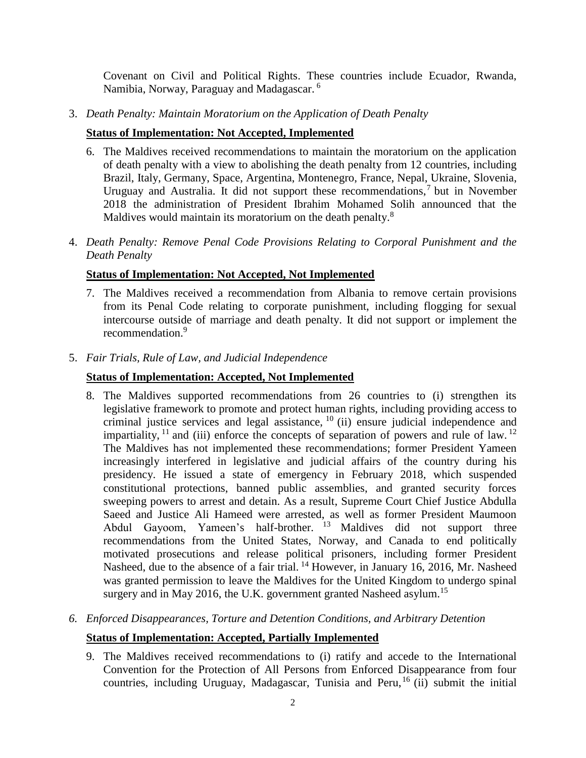Covenant on Civil and Political Rights. These countries include Ecuador, Rwanda, Namibia, Norway, Paraguay and Madagascar. 6

3. *Death Penalty: Maintain Moratorium on the Application of Death Penalty*

### **Status of Implementation: Not Accepted, Implemented**

- 6. The Maldives received recommendations to maintain the moratorium on the application of death penalty with a view to abolishing the death penalty from 12 countries, including Brazil, Italy, Germany, Space, Argentina, Montenegro, France, Nepal, Ukraine, Slovenia, Uruguay and Australia. It did not support these recommendations,<sup>7</sup> but in November 2018 the administration of President Ibrahim Mohamed Solih announced that the Maldives would maintain its moratorium on the death penalty.<sup>8</sup>
- 4. *Death Penalty: Remove Penal Code Provisions Relating to Corporal Punishment and the Death Penalty*

### **Status of Implementation: Not Accepted, Not Implemented**

- 7. The Maldives received a recommendation from Albania to remove certain provisions from its Penal Code relating to corporate punishment, including flogging for sexual intercourse outside of marriage and death penalty. It did not support or implement the recommendation.<sup>9</sup>
- 5. *Fair Trials, Rule of Law, and Judicial Independence*

### **Status of Implementation: Accepted, Not Implemented**

8. The Maldives supported recommendations from 26 countries to (i) strengthen its legislative framework to promote and protect human rights, including providing access to criminal justice services and legal assistance, <sup>10</sup> (ii) ensure judicial independence and impartiality,  $^{11}$  and (iii) enforce the concepts of separation of powers and rule of law.  $^{12}$ The Maldives has not implemented these recommendations; former President Yameen increasingly interfered in legislative and judicial affairs of the country during his presidency. He issued a state of emergency in February 2018, which suspended constitutional protections, banned public assemblies, and granted security forces sweeping powers to arrest and detain. As a result, Supreme Court Chief Justice Abdulla Saeed and Justice Ali Hameed were arrested, as well as former President Maumoon Abdul Gayoom, Yameen's half-brother.  $13$  Maldives did not support three recommendations from the United States, Norway, and Canada to end politically motivated prosecutions and release political prisoners, including former President Nasheed, due to the absence of a fair trial.<sup>14</sup> However, in January 16, 2016, Mr. Nasheed was granted permission to leave the Maldives for the United Kingdom to undergo spinal surgery and in May 2016, the U.K. government granted Nasheed asylum.<sup>15</sup>

# *6. Enforced Disappearances, Torture and Detention Conditions, and Arbitrary Detention*

### **Status of Implementation: Accepted, Partially Implemented**

9. The Maldives received recommendations to (i) ratify and accede to the International Convention for the Protection of All Persons from Enforced Disappearance from four countries, including Uruguay, Madagascar, Tunisia and Peru,<sup>16</sup> (ii) submit the initial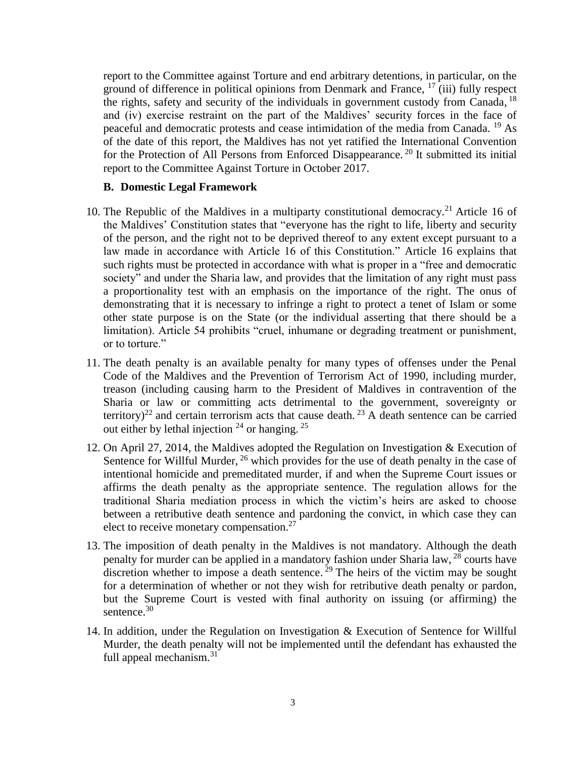report to the Committee against Torture and end arbitrary detentions, in particular, on the ground of difference in political opinions from Denmark and France,  $17 \text{ (iii)}$  fully respect the rights, safety and security of the individuals in government custody from Canada, <sup>18</sup> and (iv) exercise restraint on the part of the Maldives' security forces in the face of peaceful and democratic protests and cease intimidation of the media from Canada. <sup>19</sup> As of the date of this report, the Maldives has not yet ratified the International Convention for the Protection of All Persons from Enforced Disappearance.<sup>20</sup> It submitted its initial report to the Committee Against Torture in October 2017.

#### **B. Domestic Legal Framework**

- 10. The Republic of the Maldives in a multiparty constitutional democracy.<sup>21</sup> Article 16 of the Maldives' Constitution states that "everyone has the right to life, liberty and security of the person, and the right not to be deprived thereof to any extent except pursuant to a law made in accordance with Article 16 of this Constitution." Article 16 explains that such rights must be protected in accordance with what is proper in a "free and democratic society" and under the Sharia law, and provides that the limitation of any right must pass a proportionality test with an emphasis on the importance of the right. The onus of demonstrating that it is necessary to infringe a right to protect a tenet of Islam or some other state purpose is on the State (or the individual asserting that there should be a limitation). Article 54 prohibits "cruel, inhumane or degrading treatment or punishment, or to torture."
- <span id="page-2-0"></span>11. The death penalty is an available penalty for many types of offenses under the Penal Code of the Maldives and the Prevention of Terrorism Act of 1990, including murder, treason (including causing harm to the President of Maldives in contravention of the Sharia or law or committing acts detrimental to the government, sovereignty or territory)<sup>22</sup> and certain terrorism acts that cause death.<sup>23</sup> A death sentence can be carried out either by lethal injection  $24$  or hanging.  $25$
- 12. On April 27, 2014, the Maldives adopted the Regulation on Investigation & Execution of Sentence for Willful Murder, <sup>26</sup> which provides for the use of death penalty in the case of intentional homicide and premeditated murder, if and when the Supreme Court issues or affirms the death penalty as the appropriate sentence. The regulation allows for the traditional Sharia mediation process in which the victim's heirs are asked to choose between a retributive death sentence and pardoning the convict, in which case they can elect to receive monetary compensation.<sup>27</sup>
- 13. The imposition of death penalty in the Maldives is not mandatory. Although the death penalty for murder can be applied in a mandatory fashion under Sharia law, <sup>28</sup> courts have discretion whether to impose a death sentence.<sup>29</sup> The heirs of the victim may be sought for a determination of whether or not they wish for retributive death penalty or pardon, but the Supreme Court is vested with final authority on issuing (or affirming) the sentence. 30
- 14. In addition, under the Regulation on Investigation & Execution of Sentence for Willful Murder, the death penalty will not be implemented until the defendant has exhausted the full appeal mechanism.<sup>31</sup>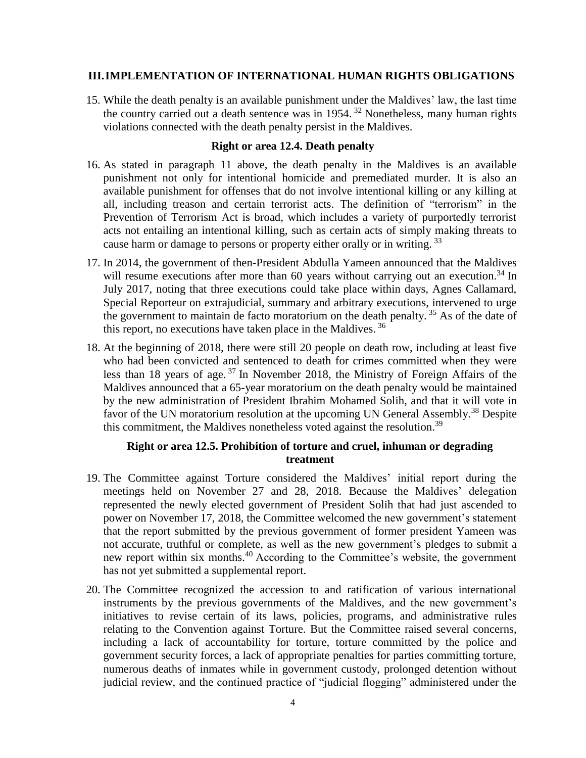### **III.IMPLEMENTATION OF INTERNATIONAL HUMAN RIGHTS OBLIGATIONS**

15. While the death penalty is an available punishment under the Maldives' law, the last time the country carried out a death sentence was in 1954.<sup>32</sup> Nonetheless, many human rights violations connected with the death penalty persist in the Maldives.

#### **Right or area 12.4. Death penalty**

- 16. As stated in paragraph [11](#page-2-0) above, the death penalty in the Maldives is an available punishment not only for intentional homicide and premediated murder. It is also an available punishment for offenses that do not involve intentional killing or any killing at all, including treason and certain terrorist acts. The definition of "terrorism" in the Prevention of Terrorism Act is broad, which includes a variety of purportedly terrorist acts not entailing an intentional killing, such as certain acts of simply making threats to cause harm or damage to persons or property either orally or in writing.<sup>33</sup>
- 17. In 2014, the government of then-President Abdulla Yameen announced that the Maldives will resume executions after more than 60 years without carrying out an execution.<sup>34</sup> In July 2017, noting that three executions could take place within days, Agnes Callamard, Special Reporteur on extrajudicial, summary and arbitrary executions, intervened to urge the government to maintain de facto moratorium on the death penalty.<sup>35</sup> As of the date of this report, no executions have taken place in the Maldives.<sup>36</sup>
- 18. At the beginning of 2018, there were still 20 people on death row, including at least five who had been convicted and sentenced to death for crimes committed when they were less than 18 years of age. <sup>37</sup> In November 2018, the Ministry of Foreign Affairs of the Maldives announced that a 65-year moratorium on the death penalty would be maintained by the new administration of President Ibrahim Mohamed Solih, and that it will vote in favor of the UN moratorium resolution at the upcoming UN General Assembly.<sup>38</sup> Despite this commitment, the Maldives nonetheless voted against the resolution.<sup>39</sup>

### **Right or area 12.5. Prohibition of torture and cruel, inhuman or degrading treatment**

- 19. The Committee against Torture considered the Maldives' initial report during the meetings held on November 27 and 28, 2018. Because the Maldives' delegation represented the newly elected government of President Solih that had just ascended to power on November 17, 2018, the Committee welcomed the new government's statement that the report submitted by the previous government of former president Yameen was not accurate, truthful or complete, as well as the new government's pledges to submit a new report within six months.<sup>40</sup> According to the Committee's website, the government has not yet submitted a supplemental report.
- 20. The Committee recognized the accession to and ratification of various international instruments by the previous governments of the Maldives, and the new government's initiatives to revise certain of its laws, policies, programs, and administrative rules relating to the Convention against Torture. But the Committee raised several concerns, including a lack of accountability for torture, torture committed by the police and government security forces, a lack of appropriate penalties for parties committing torture, numerous deaths of inmates while in government custody, prolonged detention without judicial review, and the continued practice of "judicial flogging" administered under the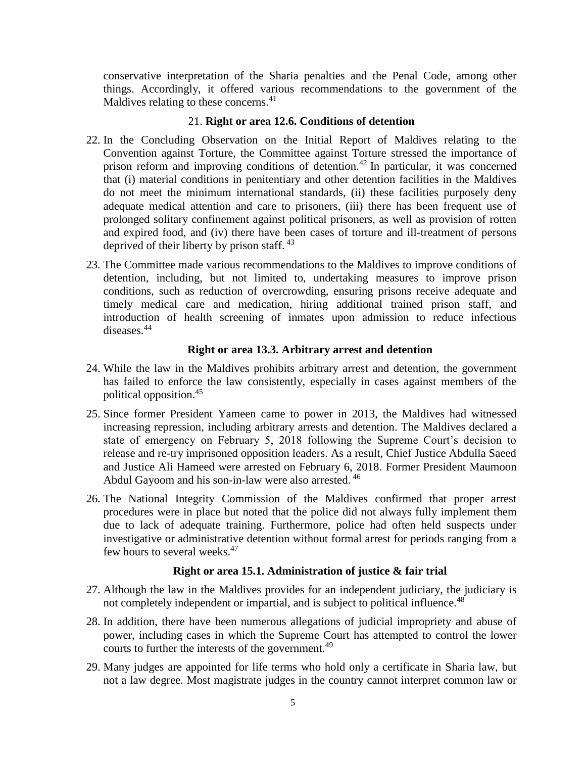conservative interpretation of the Sharia penalties and the Penal Code, among other things. Accordingly, it offered various recommendations to the government of the Maldives relating to these concerns.<sup>41</sup>

### 21. **Right or area 12.6. Conditions of detention**

- 22. In the Concluding Observation on the Initial Report of Maldives relating to the Convention against Torture, the Committee against Torture stressed the importance of prison reform and improving conditions of detention.<sup>42</sup> In particular, it was concerned that (i) material conditions in penitentiary and other detention facilities in the Maldives do not meet the minimum international standards, (ii) these facilities purposely deny adequate medical attention and care to prisoners, (iii) there has been frequent use of prolonged solitary confinement against political prisoners, as well as provision of rotten and expired food, and (iv) there have been cases of torture and ill-treatment of persons deprived of their liberty by prison staff. <sup>43</sup>
- 23. The Committee made various recommendations to the Maldives to improve conditions of detention, including, but not limited to, undertaking measures to improve prison conditions, such as reduction of overcrowding, ensuring prisons receive adequate and timely medical care and medication, hiring additional trained prison staff, and introduction of health screening of inmates upon admission to reduce infectious diseases.<sup>44</sup>

### **Right or area 13.3. Arbitrary arrest and detention**

- 24. While the law in the Maldives prohibits arbitrary arrest and detention, the government has failed to enforce the law consistently, especially in cases against members of the political opposition.<sup>45</sup>
- 25. Since former President Yameen came to power in 2013, the Maldives had witnessed increasing repression, including arbitrary arrests and detention. The Maldives declared a state of emergency on February 5, 2018 following the Supreme Court's decision to release and re-try imprisoned opposition leaders. As a result, Chief Justice Abdulla Saeed and Justice Ali Hameed were arrested on February 6, 2018. Former President Maumoon Abdul Gayoom and his son-in-law were also arrested. <sup>46</sup>
- 26. The National Integrity Commission of the Maldives confirmed that proper arrest procedures were in place but noted that the police did not always fully implement them due to lack of adequate training. Furthermore, police had often held suspects under investigative or administrative detention without formal arrest for periods ranging from a few hours to several weeks.<sup>47</sup>

### **Right or area 15.1. Administration of justice & fair trial**

- 27. Although the law in the Maldives provides for an independent judiciary, the judiciary is not completely independent or impartial, and is subject to political influence.<sup>48</sup>
- 28. In addition, there have been numerous allegations of judicial impropriety and abuse of power, including cases in which the Supreme Court has attempted to control the lower courts to further the interests of the government.<sup>49</sup>
- 29. Many judges are appointed for life terms who hold only a certificate in Sharia law, but not a law degree. Most magistrate judges in the country cannot interpret common law or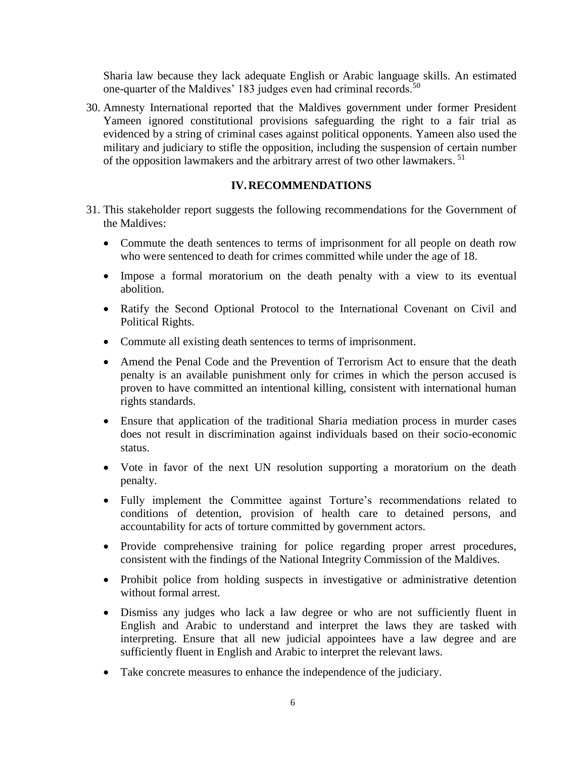Sharia law because they lack adequate English or Arabic language skills. An estimated one-quarter of the Maldives' 183 judges even had criminal records.<sup>50</sup>

30. Amnesty International reported that the Maldives government under former President Yameen ignored constitutional provisions safeguarding the right to a fair trial as evidenced by a string of criminal cases against political opponents. Yameen also used the military and judiciary to stifle the opposition, including the suspension of certain number of the opposition lawmakers and the arbitrary arrest of two other lawmakers.<sup>51</sup>

### **IV.RECOMMENDATIONS**

- 31. This stakeholder report suggests the following recommendations for the Government of the Maldives:
	- Commute the death sentences to terms of imprisonment for all people on death row who were sentenced to death for crimes committed while under the age of 18.
	- Impose a formal moratorium on the death penalty with a view to its eventual abolition.
	- Ratify the Second Optional Protocol to the International Covenant on Civil and Political Rights.
	- Commute all existing death sentences to terms of imprisonment.
	- Amend the Penal Code and the Prevention of Terrorism Act to ensure that the death penalty is an available punishment only for crimes in which the person accused is proven to have committed an intentional killing, consistent with international human rights standards.
	- Ensure that application of the traditional Sharia mediation process in murder cases does not result in discrimination against individuals based on their socio-economic status.
	- Vote in favor of the next UN resolution supporting a moratorium on the death penalty.
	- Fully implement the Committee against Torture's recommendations related to conditions of detention, provision of health care to detained persons, and accountability for acts of torture committed by government actors.
	- Provide comprehensive training for police regarding proper arrest procedures, consistent with the findings of the National Integrity Commission of the Maldives.
	- Prohibit police from holding suspects in investigative or administrative detention without formal arrest.
	- Dismiss any judges who lack a law degree or who are not sufficiently fluent in English and Arabic to understand and interpret the laws they are tasked with interpreting. Ensure that all new judicial appointees have a law degree and are sufficiently fluent in English and Arabic to interpret the relevant laws.
	- Take concrete measures to enhance the independence of the judiciary.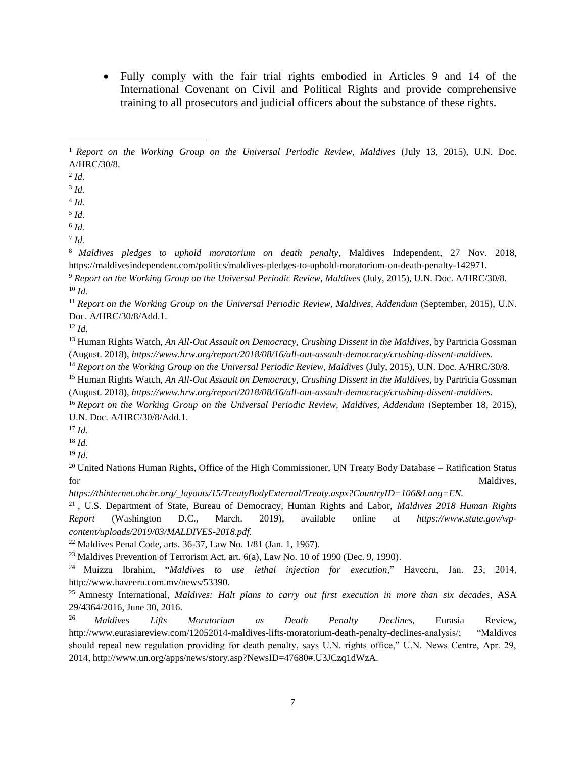Fully comply with the fair trial rights embodied in Articles 9 and 14 of the International Covenant on Civil and Political Rights and provide comprehensive training to all prosecutors and judicial officers about the substance of these rights.

 $\overline{a}$ 

5 *Id.*

<sup>8</sup> *Maldives pledges to uphold moratorium on death penalty*, Maldives Independent, 27 Nov. 2018, https://maldivesindependent.com/politics/maldives-pledges-to-uphold-moratorium-on-death-penalty-142971.

<sup>9</sup> *Report on the Working Group on the Universal Periodic Review, Maldives* (July, 2015), U.N. Doc. A/HRC/30/8. <sup>10</sup> *Id.*

<sup>11</sup> *Report on the Working Group on the Universal Periodic Review, Maldives, Addendum* (September, 2015), U.N. Doc. A/HRC/30/8/Add.1.

<sup>12</sup> *Id.*

<sup>13</sup> Human Rights Watch, *An All-Out Assault on Democracy, Crushing Dissent in the Maldives*, by Partricia Gossman (August. 2018), *https://www.hrw.org/report/2018/08/16/all-out-assault-democracy/crushing-dissent-maldives.*

<sup>14</sup> *Report on the Working Group on the Universal Periodic Review, Maldives* (July, 2015), U.N. Doc. A/HRC/30/8.

<sup>15</sup> Human Rights Watch, *An All-Out Assault on Democracy, Crushing Dissent in the Maldives*, by Partricia Gossman (August. 2018), *https://www.hrw.org/report/2018/08/16/all-out-assault-democracy/crushing-dissent-maldives.*

<sup>16</sup> *Report on the Working Group on the Universal Periodic Review, Maldives, Addendum* (September 18, 2015), U.N. Doc. A/HRC/30/8/Add.1.

<sup>18</sup> *Id.*

<sup>19</sup> *Id.*

<sup>20</sup> United Nations Human Rights, Office of the High Commissioner, UN Treaty Body Database – Ratification Status for Maldives,

*https://tbinternet.ohchr.org/\_layouts/15/TreatyBodyExternal/Treaty.aspx?CountryID=106&Lang=EN.*

<sup>21</sup> , U.S. Department of State, Bureau of Democracy, Human Rights and Labor, *Maldives 2018 Human Rights Report* (Washington D.C., March. 2019), available online at *[https://www.state.gov/wp](https://www.state.gov/wp-content/uploads/2019/03/MALDIVES-2018.pdf)[content/uploads/2019/03/MALDIVES-2018.pdf.](https://www.state.gov/wp-content/uploads/2019/03/MALDIVES-2018.pdf)*

<sup>22</sup> Maldives Penal Code, arts. 36-37, Law No. 1/81 (Jan. 1, 1967)*.*

<sup>23</sup> Maldives Prevention of Terrorism Act, art. 6(a), Law No. 10 of 1990 (Dec. 9, 1990)*.*

<sup>24</sup> Muizzu Ibrahim, "*Maldives to use lethal injection for execution,*" Haveeru, Jan. 23, 2014, http://www.haveeru.com.mv/news/53390.

<sup>25</sup> Amnesty International, *Maldives: Halt plans to carry out first execution in more than six decades*, ASA 29/4364/2016, June 30, 2016*.*

<sup>26</sup> *Maldives Lifts Moratorium as Death Penalty Declines*, Eurasia Review, http://www.eurasiareview.com/12052014-maldives-lifts-moratorium-death-penalty-declines-analysis/; "Maldives should repeal new regulation providing for death penalty, says U.N. rights office," U.N. News Centre, Apr. 29, 2014, http://www.un.org/apps/news/story.asp?NewsID=47680#.U3JCzq1dWzA*.*

<sup>1</sup> *Report on the Working Group on the Universal Periodic Review, Maldives* (July 13, 2015), U.N. Doc. A/HRC/30/8.

<sup>2</sup> *Id.*

<sup>3</sup> *Id.*

<sup>4</sup> *Id.*

<sup>6</sup> *Id.* 7 *Id.*

<sup>17</sup> *Id.*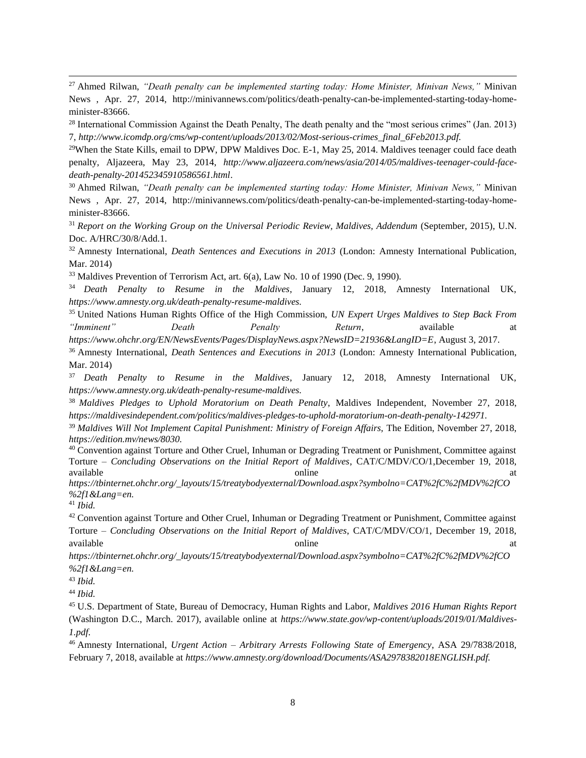<sup>27</sup> Ahmed Rilwan, *"Death penalty can be implemented starting today: Home Minister, Minivan News,"* Minivan News , Apr. 27, 2014, http://minivannews.com/politics/death-penalty-can-be-implemented-starting-today-homeminister-83666.

<sup>28</sup> International Commission Against the Death Penalty, The death penalty and the "most serious crimes" (Jan. 2013) 7, *http://www.icomdp.org/cms/wp-content/uploads/2013/02/Most-serious-crimes\_final\_6Feb2013.pdf.*

 $29$ When the State Kills, email to DPW, DPW Maldives Doc. E-1, May 25, 2014. Maldives teenager could face death penalty*,* Aljazeera, May 23, 2014, *http://www.aljazeera.com/news/asia/2014/05/maldives-teenager-could-facedeath-penalty-201452345910586561.html*.

<sup>30</sup> Ahmed Rilwan, *"Death penalty can be implemented starting today: Home Minister, Minivan News,"* Minivan News , Apr. 27, 2014, http://minivannews.com/politics/death-penalty-can-be-implemented-starting-today-homeminister-83666.

<sup>31</sup> *Report on the Working Group on the Universal Periodic Review, Maldives, Addendum* (September, 2015), U.N. Doc. A/HRC/30/8/Add.1.

<sup>32</sup> Amnesty International, *Death Sentences and Executions in 2013* (London: Amnesty International Publication, Mar. 2014)

<sup>33</sup> Maldives Prevention of Terrorism Act, art. 6(a), Law No. 10 of 1990 (Dec. 9, 1990)*.*

<sup>34</sup> *Death Penalty to Resume in the Maldives*, January 12, 2018, Amnesty International UK, *https://www.amnesty.org.uk/death-penalty-resume-maldives.*

<sup>35</sup> United Nations Human Rights Office of the High Commission, *UN Expert Urges Maldives to Step Back From "Imminent" Death Penalty Return*, available at

*https://www.ohchr.org/EN/NewsEvents/Pages/DisplayNews.aspx?NewsID=21936&LangID=E*, August 3, 2017.

<sup>36</sup> Amnesty International, *Death Sentences and Executions in 2013* (London: Amnesty International Publication, Mar. 2014)

<sup>37</sup> *Death Penalty to Resume in the Maldives*, January 12, 2018, Amnesty International UK, *https://www.amnesty.org.uk/death-penalty-resume-maldives.*

<sup>38</sup> *Maldives Pledges to Uphold Moratorium on Death Penalty*, Maldives Independent, November 27, 2018, *https://maldivesindependent.com/politics/maldives-pledges-to-uphold-moratorium-on-death-penalty-142971.*

<sup>39</sup> *Maldives Will Not Implement Capital Punishment: Ministry of Foreign Affairs,* The Edition, November 27, 2018, *https://edition.mv/news/8030.*

<sup>40</sup> Convention against Torture and Other Cruel, Inhuman or Degrading Treatment or Punishment, Committee against Torture – *Concluding Observations on the Initial Report of Maldives*, CAT/C/MDV/CO/1,December 19, 2018, available at the contract of the contract online at the contract of the contract of the contract of the contract of the contract of the contract of the contract of the contract of the contract of the contract of the contra

*https://tbinternet.ohchr.org/\_layouts/15/treatybodyexternal/Download.aspx?symbolno=CAT%2fC%2fMDV%2fCO %2f1&Lang=en.*

<sup>41</sup> *Ibid.*

<sup>42</sup> Convention against Torture and Other Cruel, Inhuman or Degrading Treatment or Punishment, Committee against Torture – *Concluding Observations on the Initial Report of Maldives*, CAT/C/MDV/CO/1, December 19, 2018, available at a control online at a control online at a control online at a control online at a control online at a control online at a control online at a control online at a control online at a control online at a control

*https://tbinternet.ohchr.org/\_layouts/15/treatybodyexternal/Download.aspx?symbolno=CAT%2fC%2fMDV%2fCO %2f1&Lang=en.*

<sup>43</sup> *Ibid.*

<sup>44</sup> *Ibid.*

<sup>45</sup> U.S. Department of State, Bureau of Democracy, Human Rights and Labor, *Maldives 2016 Human Rights Report*  (Washington D.C., March. 2017), available online at *[https://www.state.gov/wp-content/uploads/2019/01/Maldives-](https://www.state.gov/wp-content/uploads/2019/01/Maldives-1.pdf)[1.pdf.](https://www.state.gov/wp-content/uploads/2019/01/Maldives-1.pdf)*

<sup>46</sup> Amnesty International, *Urgent Action – Arbitrary Arrests Following State of Emergency*, ASA 29/7838/2018, February 7, 2018, available at *https://www.amnesty.org/download/Documents/ASA2978382018ENGLISH.pdf.*